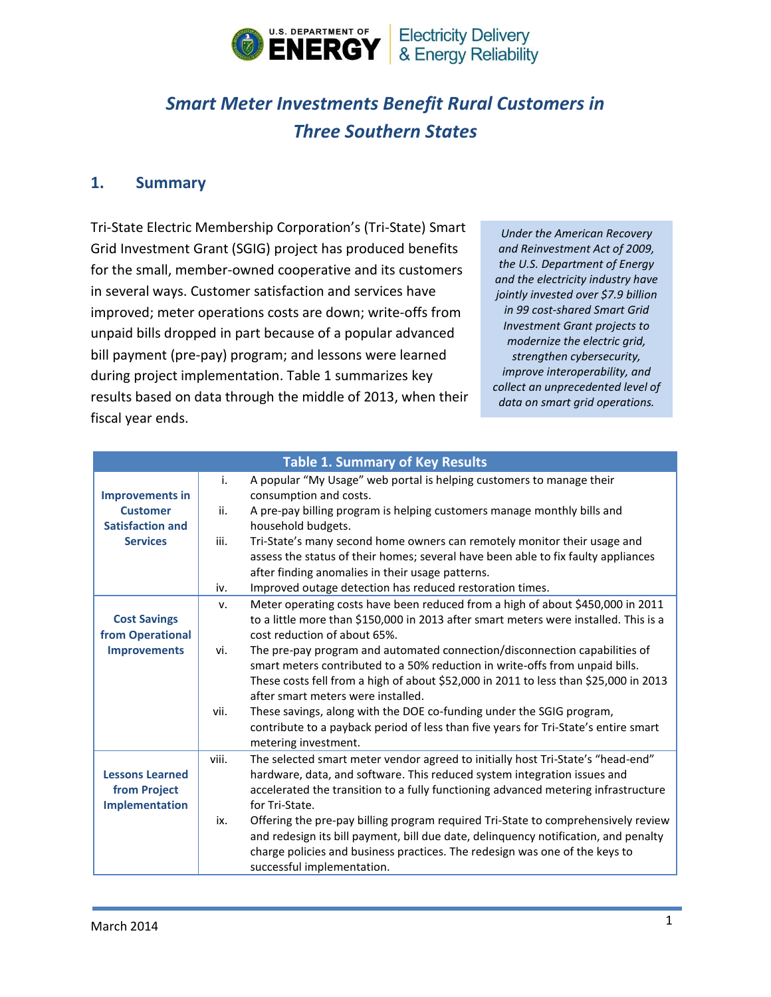

# *Smart Meter Investments Benefit Rural Customers in Three Southern States*

#### **1. Summary**

Tri-State Electric Membership Corporation's (Tri-State) Smart Grid Investment Grant (SGIG) project has produced benefits for the small, member-owned cooperative and its customers in several ways. Customer satisfaction and services have improved; meter operations costs are down; write-offs from unpaid bills dropped in part because of a popular advanced bill payment (pre-pay) program; and lessons were learned during project implementation. Table 1 summarizes key results based on data through the middle of 2013, when their fiscal year ends.

*Under the American Recovery and Reinvestment Act of 2009, the U.S. Department of Energy and the electricity industry have jointly invested over \$7.9 billion in 99 cost-shared Smart Grid Investment Grant projects to modernize the electric grid, strengthen cybersecurity, improve interoperability, and collect an unprecedented level of data on smart grid operations.*

| <b>Table 1. Summary of Key Results</b> |       |                                                                                      |  |  |
|----------------------------------------|-------|--------------------------------------------------------------------------------------|--|--|
|                                        | i.    | A popular "My Usage" web portal is helping customers to manage their                 |  |  |
| <b>Improvements in</b>                 |       | consumption and costs.                                                               |  |  |
| <b>Customer</b>                        | ii.   | A pre-pay billing program is helping customers manage monthly bills and              |  |  |
| <b>Satisfaction and</b>                |       | household budgets.                                                                   |  |  |
| <b>Services</b>                        | iii.  | Tri-State's many second home owners can remotely monitor their usage and             |  |  |
|                                        |       | assess the status of their homes; several have been able to fix faulty appliances    |  |  |
|                                        |       | after finding anomalies in their usage patterns.                                     |  |  |
|                                        | iv.   | Improved outage detection has reduced restoration times.                             |  |  |
|                                        | v.    | Meter operating costs have been reduced from a high of about \$450,000 in 2011       |  |  |
| <b>Cost Savings</b>                    |       | to a little more than \$150,000 in 2013 after smart meters were installed. This is a |  |  |
| from Operational                       |       | cost reduction of about 65%.                                                         |  |  |
| <b>Improvements</b>                    | vi.   | The pre-pay program and automated connection/disconnection capabilities of           |  |  |
|                                        |       | smart meters contributed to a 50% reduction in write-offs from unpaid bills.         |  |  |
|                                        |       | These costs fell from a high of about \$52,000 in 2011 to less than \$25,000 in 2013 |  |  |
|                                        |       | after smart meters were installed.                                                   |  |  |
|                                        | vii.  | These savings, along with the DOE co-funding under the SGIG program,                 |  |  |
|                                        |       | contribute to a payback period of less than five years for Tri-State's entire smart  |  |  |
|                                        |       | metering investment.                                                                 |  |  |
|                                        | viii. | The selected smart meter vendor agreed to initially host Tri-State's "head-end"      |  |  |
| <b>Lessons Learned</b>                 |       | hardware, data, and software. This reduced system integration issues and             |  |  |
| from Project                           |       | accelerated the transition to a fully functioning advanced metering infrastructure   |  |  |
| Implementation                         |       | for Tri-State.                                                                       |  |  |
|                                        | ix.   | Offering the pre-pay billing program required Tri-State to comprehensively review    |  |  |
|                                        |       | and redesign its bill payment, bill due date, delinquency notification, and penalty  |  |  |
|                                        |       | charge policies and business practices. The redesign was one of the keys to          |  |  |
|                                        |       | successful implementation.                                                           |  |  |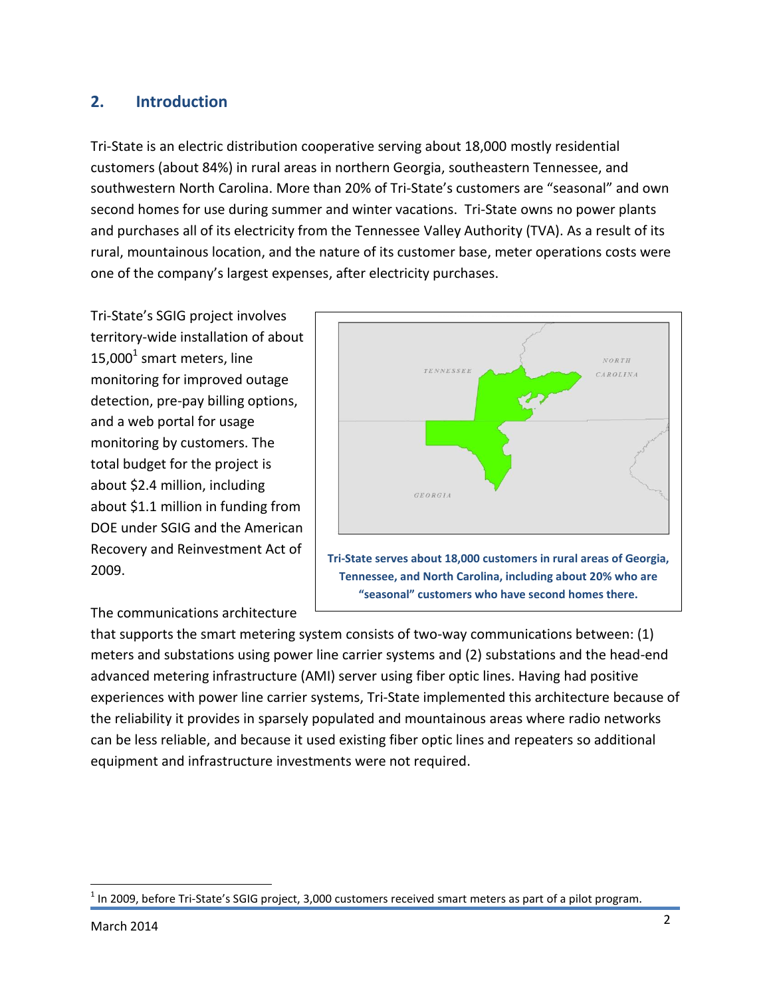# **2. Introduction**

Tri-State is an electric distribution cooperative serving about 18,000 mostly residential customers (about 84%) in rural areas in northern Georgia, southeastern Tennessee, and southwestern North Carolina. More than 20% of Tri-State's customers are "seasonal" and own second homes for use during summer and winter vacations. Tri-State owns no power plants and purchases all of its electricity from the Tennessee Valley Authority (TVA). As a result of its rural, mountainous location, and the nature of its customer base, meter operations costs were one of the company's largest expenses, after electricity purchases.

Tri-State's SGIG project involves territory-wide installation of about 15,000<sup>1</sup> smart meters, line monitoring for improved outage detection, pre-pay billing options, and a web portal for usage monitoring by customers. The total budget for the project is about \$2.4 million, including about \$1.1 million in funding from DOE under SGIG and the American Recovery and Reinvestment Act of 2009.

#### The communications architecture



that supports the smart metering system consists of two-way communications between: (1) meters and substations using power line carrier systems and (2) substations and the head-end advanced metering infrastructure (AMI) server using fiber optic lines. Having had positive experiences with power line carrier systems, Tri-State implemented this architecture because of the reliability it provides in sparsely populated and mountainous areas where radio networks can be less reliable, and because it used existing fiber optic lines and repeaters so additional equipment and infrastructure investments were not required.

 $\overline{\phantom{a}}$ 

 $^1$  In 2009, before Tri-State's SGIG project, 3,000 customers received smart meters as part of a pilot program.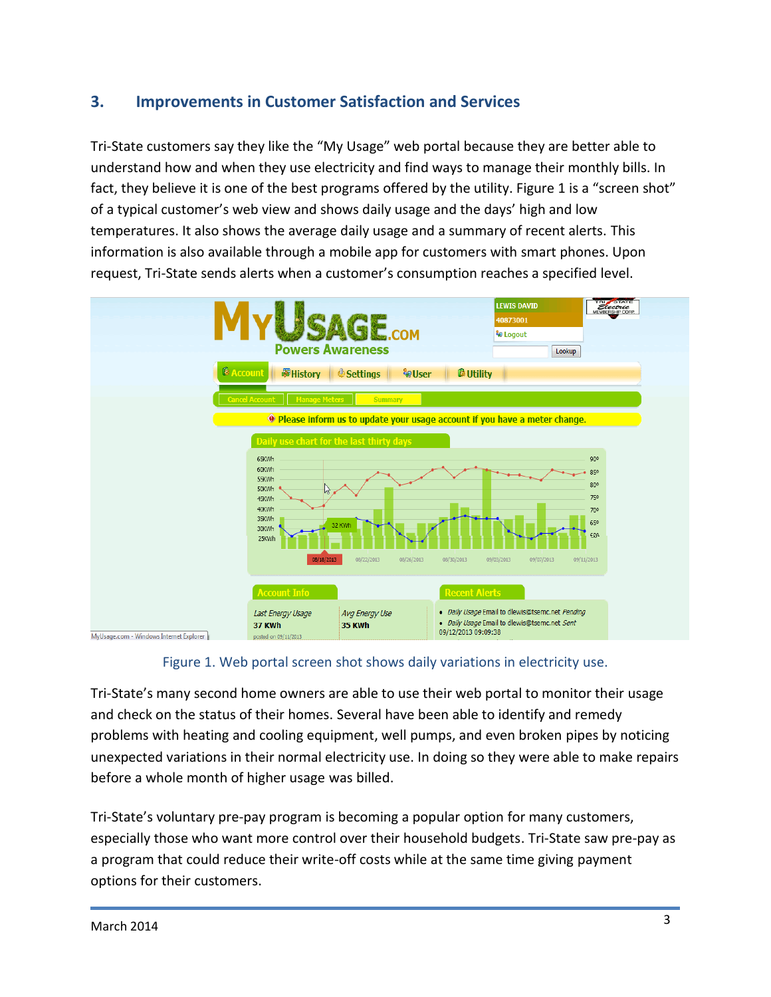# **3. Improvements in Customer Satisfaction and Services**

Tri-State customers say they like the "My Usage" web portal because they are better able to understand how and when they use electricity and find ways to manage their monthly bills. In fact, they believe it is one of the best programs offered by the utility. Figure 1 is a "screen shot" of a typical customer's web view and shows daily usage and the days' high and low temperatures. It also shows the average daily usage and a summary of recent alerts. This information is also available through a mobile app for customers with smart phones. Upon request, Tri-State sends alerts when a customer's consumption reaches a specified level.



Figure 1. Web portal screen shot shows daily variations in electricity use.

Tri-State's many second home owners are able to use their web portal to monitor their usage and check on the status of their homes. Several have been able to identify and remedy problems with heating and cooling equipment, well pumps, and even broken pipes by noticing unexpected variations in their normal electricity use. In doing so they were able to make repairs before a whole month of higher usage was billed.

Tri-State's voluntary pre-pay program is becoming a popular option for many customers, especially those who want more control over their household budgets. Tri-State saw pre-pay as a program that could reduce their write-off costs while at the same time giving payment options for their customers.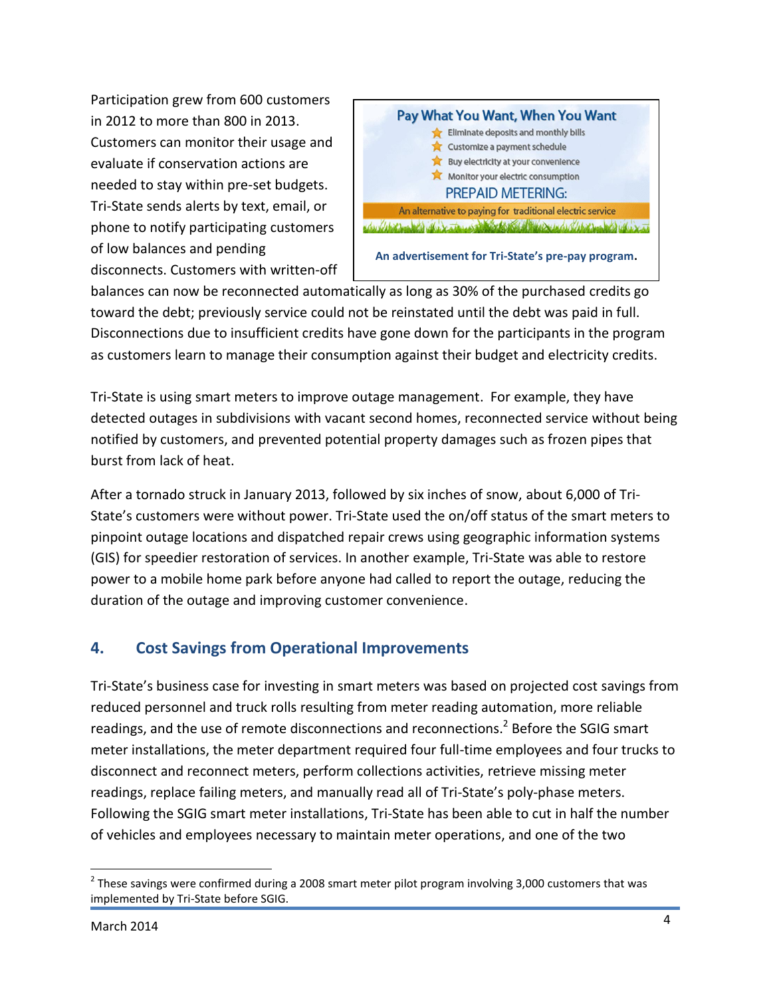Participation grew from 600 customers in 2012 to more than 800 in 2013. Customers can monitor their usage and evaluate if conservation actions are needed to stay within pre-set budgets. Tri-State sends alerts by text, email, or phone to notify participating customers of low balances and pending disconnects. Customers with written-off



balances can now be reconnected automatically as long as 30% of the purchased credits go toward the debt; previously service could not be reinstated until the debt was paid in full. Disconnections due to insufficient credits have gone down for the participants in the program as customers learn to manage their consumption against their budget and electricity credits.

Tri-State is using smart meters to improve outage management. For example, they have detected outages in subdivisions with vacant second homes, reconnected service without being notified by customers, and prevented potential property damages such as frozen pipes that burst from lack of heat.

After a tornado struck in January 2013, followed by six inches of snow, about 6,000 of Tri-State's customers were without power. Tri-State used the on/off status of the smart meters to pinpoint outage locations and dispatched repair crews using geographic information systems (GIS) for speedier restoration of services. In another example, Tri-State was able to restore power to a mobile home park before anyone had called to report the outage, reducing the duration of the outage and improving customer convenience.

# **4. Cost Savings from Operational Improvements**

Tri-State's business case for investing in smart meters was based on projected cost savings from reduced personnel and truck rolls resulting from meter reading automation, more reliable readings, and the use of remote disconnections and reconnections.<sup>2</sup> Before the SGIG smart meter installations, the meter department required four full-time employees and four trucks to disconnect and reconnect meters, perform collections activities, retrieve missing meter readings, replace failing meters, and manually read all of Tri-State's poly-phase meters. Following the SGIG smart meter installations, Tri-State has been able to cut in half the number of vehicles and employees necessary to maintain meter operations, and one of the two

l

 $^{2}$  These savings were confirmed during a 2008 smart meter pilot program involving 3,000 customers that was implemented by Tri-State before SGIG.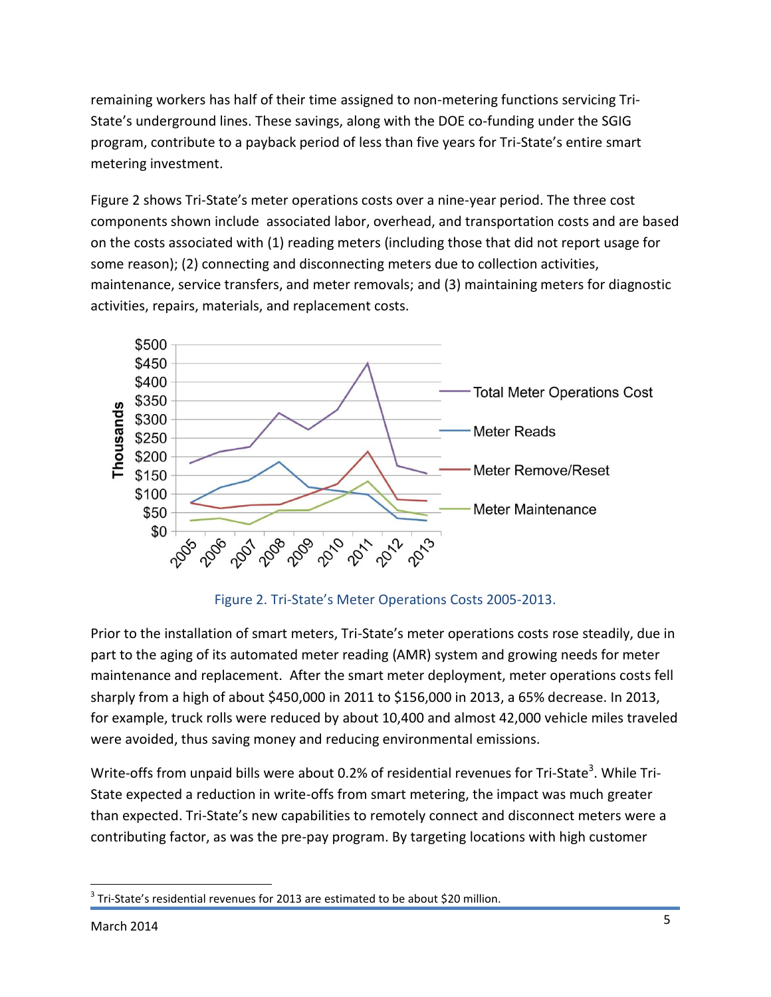remaining workers has half of their time assigned to non-metering functions servicing Tri-State's underground lines. These savings, along with the DOE co-funding under the SGIG program, contribute to a payback period of less than five years for Tri-State's entire smart metering investment.

Figure 2 shows Tri-State's meter operations costs over a nine-year period. The three cost components shown include associated labor, overhead, and transportation costs and are based on the costs associated with (1) reading meters (including those that did not report usage for some reason); (2) connecting and disconnecting meters due to collection activities, maintenance, service transfers, and meter removals; and (3) maintaining meters for diagnostic activities, repairs, materials, and replacement costs.



Figure 2. Tri-State's Meter Operations Costs 2005-2013.

Prior to the installation of smart meters, Tri-State's meter operations costs rose steadily, due in part to the aging of its automated meter reading (AMR) system and growing needs for meter maintenance and replacement. After the smart meter deployment, meter operations costs fell sharply from a high of about \$450,000 in 2011 to \$156,000 in 2013, a 65% decrease. In 2013, for example, truck rolls were reduced by about 10,400 and almost 42,000 vehicle miles traveled were avoided, thus saving money and reducing environmental emissions.

Write-offs from unpaid bills were about 0.2% of residential revenues for Tri-State<sup>3</sup>. While Tri-State expected a reduction in write-offs from smart metering, the impact was much greater than expected. Tri-State's new capabilities to remotely connect and disconnect meters were a contributing factor, as was the pre-pay program. By targeting locations with high customer

 $\overline{\phantom{a}}$  $^3$  Tri-State's residential revenues for 2013 are estimated to be about \$20 million.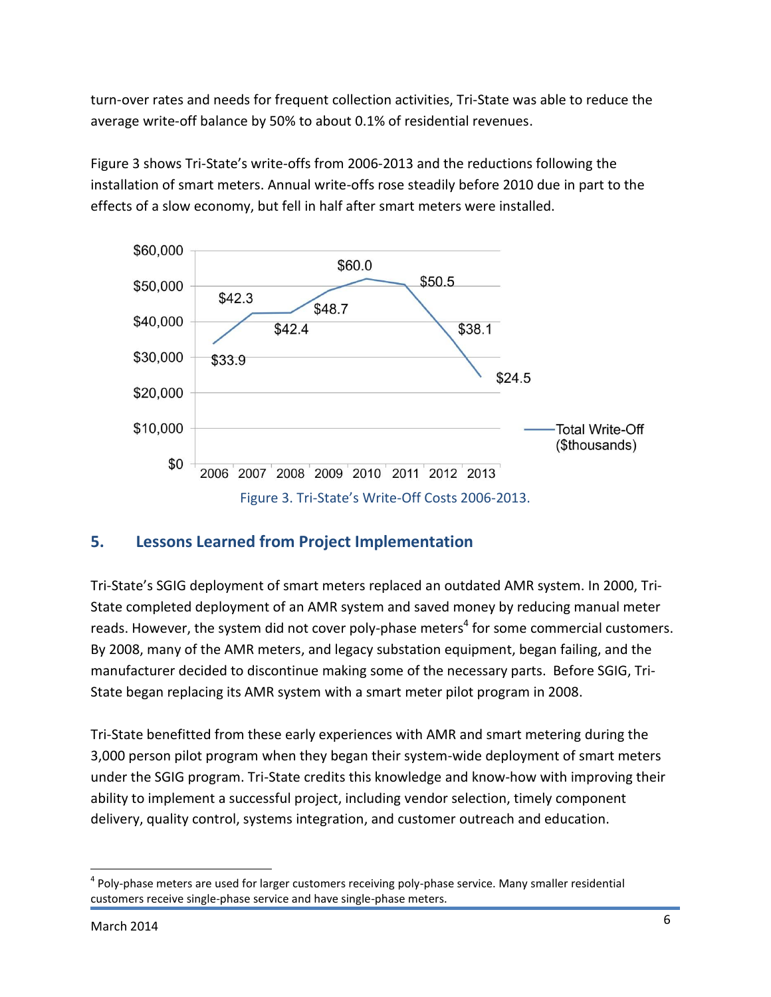turn-over rates and needs for frequent collection activities, Tri-State was able to reduce the average write-off balance by 50% to about 0.1% of residential revenues.

Figure 3 shows Tri-State's write-offs from 2006-2013 and the reductions following the installation of smart meters. Annual write-offs rose steadily before 2010 due in part to the effects of a slow economy, but fell in half after smart meters were installed.



## **5. Lessons Learned from Project Implementation**

Tri-State's SGIG deployment of smart meters replaced an outdated AMR system. In 2000, Tri-State completed deployment of an AMR system and saved money by reducing manual meter reads. However, the system did not cover poly-phase meters<sup>4</sup> for some commercial customers. By 2008, many of the AMR meters, and legacy substation equipment, began failing, and the manufacturer decided to discontinue making some of the necessary parts. Before SGIG, Tri-State began replacing its AMR system with a smart meter pilot program in 2008.

Tri-State benefitted from these early experiences with AMR and smart metering during the 3,000 person pilot program when they began their system-wide deployment of smart meters under the SGIG program. Tri-State credits this knowledge and know-how with improving their ability to implement a successful project, including vendor selection, timely component delivery, quality control, systems integration, and customer outreach and education.

l <sup>4</sup> Poly-phase meters are used for larger customers receiving poly-phase service. Many smaller residential customers receive single-phase service and have single-phase meters.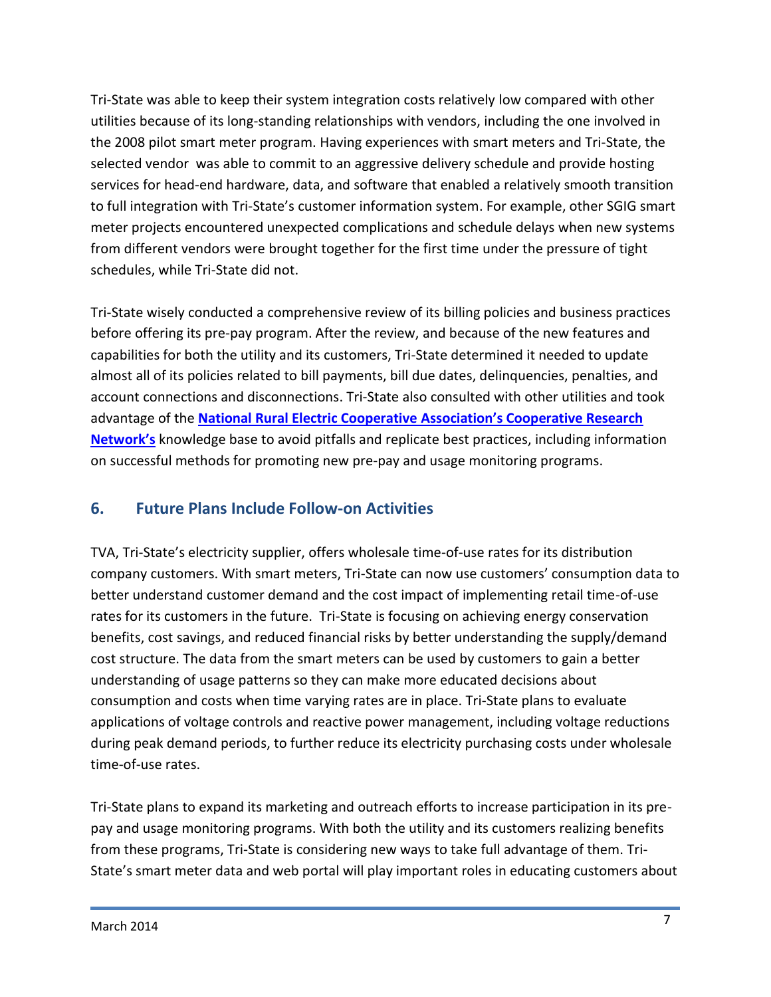Tri-State was able to keep their system integration costs relatively low compared with other utilities because of its long-standing relationships with vendors, including the one involved in the 2008 pilot smart meter program. Having experiences with smart meters and Tri-State, the selected vendor was able to commit to an aggressive delivery schedule and provide hosting services for head-end hardware, data, and software that enabled a relatively smooth transition to full integration with Tri-State's customer information system. For example, other SGIG smart meter projects encountered unexpected complications and schedule delays when new systems from different vendors were brought together for the first time under the pressure of tight schedules, while Tri-State did not.

Tri-State wisely conducted a comprehensive review of its billing policies and business practices before offering its pre-pay program. After the review, and because of the new features and capabilities for both the utility and its customers, Tri-State determined it needed to update almost all of its policies related to bill payments, bill due dates, delinquencies, penalties, and account connections and disconnections. Tri-State also consulted with other utilities and took advantage of the **[National Rural Electric Cooperative Association](http://www.nreca.coop/what-we-do/cooperative-research-network/)'s Cooperative Research [Network's](http://www.nreca.coop/what-we-do/cooperative-research-network/)** knowledge base to avoid pitfalls and replicate best practices, including information on successful methods for promoting new pre-pay and usage monitoring programs.

# **6. Future Plans Include Follow-on Activities**

TVA, Tri-State's electricity supplier, offers wholesale time-of-use rates for its distribution company customers. With smart meters, Tri-State can now use customers' consumption data to better understand customer demand and the cost impact of implementing retail time-of-use rates for its customers in the future. Tri-State is focusing on achieving energy conservation benefits, cost savings, and reduced financial risks by better understanding the supply/demand cost structure. The data from the smart meters can be used by customers to gain a better understanding of usage patterns so they can make more educated decisions about consumption and costs when time varying rates are in place. Tri-State plans to evaluate applications of voltage controls and reactive power management, including voltage reductions during peak demand periods, to further reduce its electricity purchasing costs under wholesale time-of-use rates.

Tri-State plans to expand its marketing and outreach efforts to increase participation in its prepay and usage monitoring programs. With both the utility and its customers realizing benefits from these programs, Tri-State is considering new ways to take full advantage of them. Tri-State's smart meter data and web portal will play important roles in educating customers about